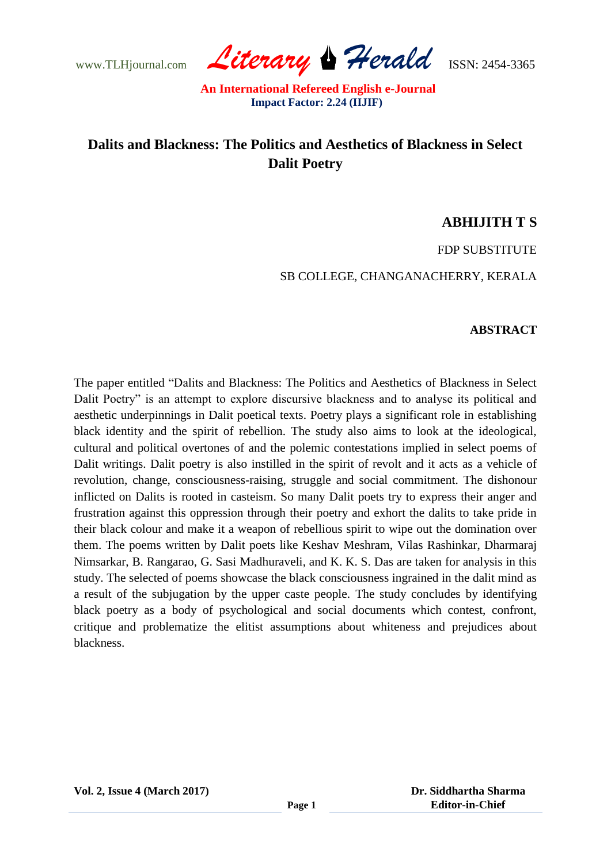www.TLHjournal.com *Literary Herald*ISSN: 2454-3365

# **Dalits and Blackness: The Politics and Aesthetics of Blackness in Select Dalit Poetry**

### **ABHIJITH T S**

FDP SUBSTITUTE

SB COLLEGE, CHANGANACHERRY, KERALA

### **ABSTRACT**

The paper entitled "Dalits and Blackness: The Politics and Aesthetics of Blackness in Select Dalit Poetry" is an attempt to explore discursive blackness and to analyse its political and aesthetic underpinnings in Dalit poetical texts. Poetry plays a significant role in establishing black identity and the spirit of rebellion. The study also aims to look at the ideological, cultural and political overtones of and the polemic contestations implied in select poems of Dalit writings. Dalit poetry is also instilled in the spirit of revolt and it acts as a vehicle of revolution, change, consciousness-raising, struggle and social commitment. The dishonour inflicted on Dalits is rooted in casteism. So many Dalit poets try to express their anger and frustration against this oppression through their poetry and exhort the dalits to take pride in their black colour and make it a weapon of rebellious spirit to wipe out the domination over them. The poems written by Dalit poets like Keshav Meshram, Vilas Rashinkar, Dharmaraj Nimsarkar, B. Rangarao, G. Sasi Madhuraveli, and K. K. S. Das are taken for analysis in this study. The selected of poems showcase the black consciousness ingrained in the dalit mind as a result of the subjugation by the upper caste people. The study concludes by identifying black poetry as a body of psychological and social documents which contest, confront, critique and problematize the elitist assumptions about whiteness and prejudices about blackness.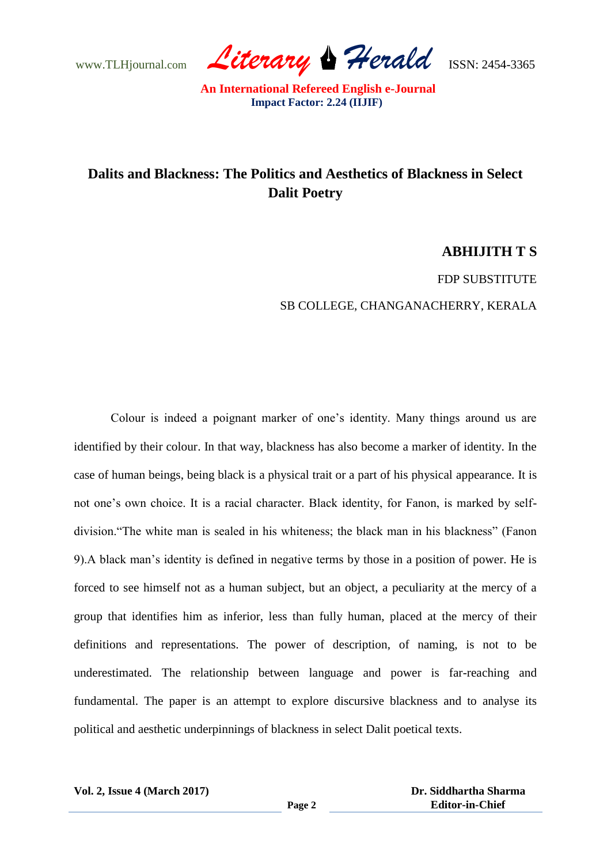www.TLHjournal.com *Literary Herald*ISSN: 2454-3365

## **Dalits and Blackness: The Politics and Aesthetics of Blackness in Select Dalit Poetry**

### **ABHIJITH T S**

FDP SUBSTITUTE

SB COLLEGE, CHANGANACHERRY, KERALA

Colour is indeed a poignant marker of one"s identity. Many things around us are identified by their colour. In that way, blackness has also become a marker of identity. In the case of human beings, being black is a physical trait or a part of his physical appearance. It is not one"s own choice. It is a racial character. Black identity, for Fanon, is marked by selfdivision."The white man is sealed in his whiteness; the black man in his blackness" (Fanon 9).A black man"s identity is defined in negative terms by those in a position of power. He is forced to see himself not as a human subject, but an object, a peculiarity at the mercy of a group that identifies him as inferior, less than fully human, placed at the mercy of their definitions and representations. The power of description, of naming, is not to be underestimated. The relationship between language and power is far-reaching and fundamental. The paper is an attempt to explore discursive blackness and to analyse its political and aesthetic underpinnings of blackness in select Dalit poetical texts.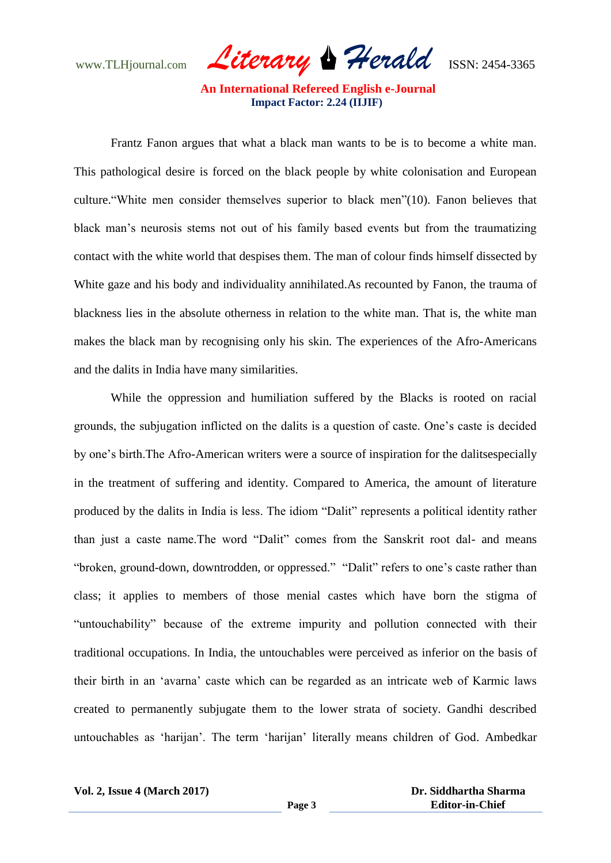www.TLHjournal.com *Literary Herald*ISSN: 2454-3365

Frantz Fanon argues that what a black man wants to be is to become a white man. This pathological desire is forced on the black people by white colonisation and European culture."White men consider themselves superior to black men"(10). Fanon believes that black man"s neurosis stems not out of his family based events but from the traumatizing contact with the white world that despises them. The man of colour finds himself dissected by White gaze and his body and individuality annihilated.As recounted by Fanon, the trauma of blackness lies in the absolute otherness in relation to the white man. That is, the white man makes the black man by recognising only his skin. The experiences of the Afro-Americans and the dalits in India have many similarities.

While the oppression and humiliation suffered by the Blacks is rooted on racial grounds, the subjugation inflicted on the dalits is a question of caste. One"s caste is decided by one"s birth.The Afro-American writers were a source of inspiration for the dalitsespecially in the treatment of suffering and identity. Compared to America, the amount of literature produced by the dalits in India is less. The idiom "Dalit" represents a political identity rather than just a caste name.The word "Dalit" comes from the Sanskrit root dal- and means "broken, ground-down, downtrodden, or oppressed." "Dalit" refers to one"s caste rather than class; it applies to members of those menial castes which have born the stigma of "untouchability" because of the extreme impurity and pollution connected with their traditional occupations. In India, the untouchables were perceived as inferior on the basis of their birth in an "avarna" caste which can be regarded as an intricate web of Karmic laws created to permanently subjugate them to the lower strata of society. Gandhi described untouchables as "harijan". The term "harijan" literally means children of God. Ambedkar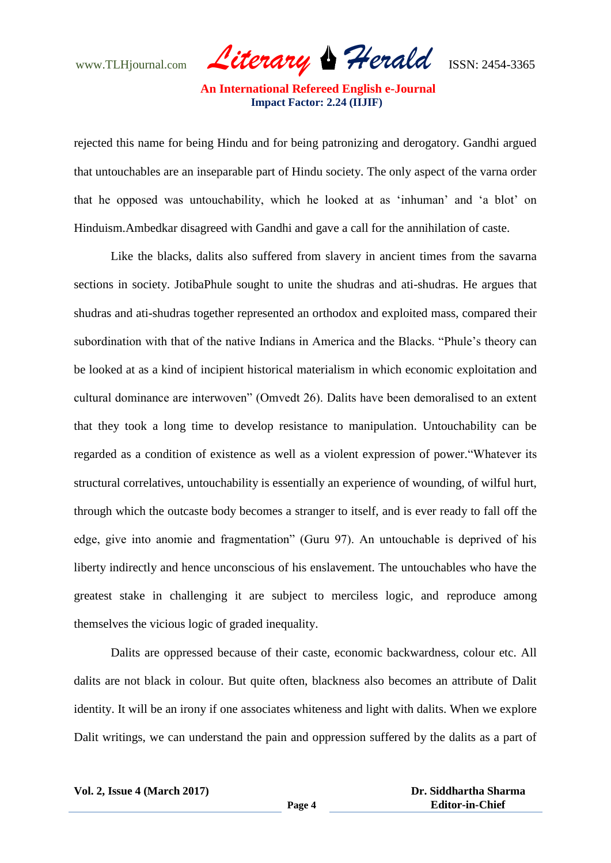www.TLHjournal.com *Literary Herald*ISSN: 2454-3365

rejected this name for being Hindu and for being patronizing and derogatory. Gandhi argued that untouchables are an inseparable part of Hindu society. The only aspect of the varna order that he opposed was untouchability, which he looked at as "inhuman" and "a blot" on Hinduism.Ambedkar disagreed with Gandhi and gave a call for the annihilation of caste.

Like the blacks, dalits also suffered from slavery in ancient times from the savarna sections in society. JotibaPhule sought to unite the shudras and ati-shudras. He argues that shudras and ati-shudras together represented an orthodox and exploited mass, compared their subordination with that of the native Indians in America and the Blacks. "Phule's theory can be looked at as a kind of incipient historical materialism in which economic exploitation and cultural dominance are interwoven" (Omvedt 26). Dalits have been demoralised to an extent that they took a long time to develop resistance to manipulation. Untouchability can be regarded as a condition of existence as well as a violent expression of power."Whatever its structural correlatives, untouchability is essentially an experience of wounding, of wilful hurt, through which the outcaste body becomes a stranger to itself, and is ever ready to fall off the edge, give into anomie and fragmentation" (Guru 97). An untouchable is deprived of his liberty indirectly and hence unconscious of his enslavement. The untouchables who have the greatest stake in challenging it are subject to merciless logic, and reproduce among themselves the vicious logic of graded inequality.

Dalits are oppressed because of their caste, economic backwardness, colour etc. All dalits are not black in colour. But quite often, blackness also becomes an attribute of Dalit identity. It will be an irony if one associates whiteness and light with dalits. When we explore Dalit writings, we can understand the pain and oppression suffered by the dalits as a part of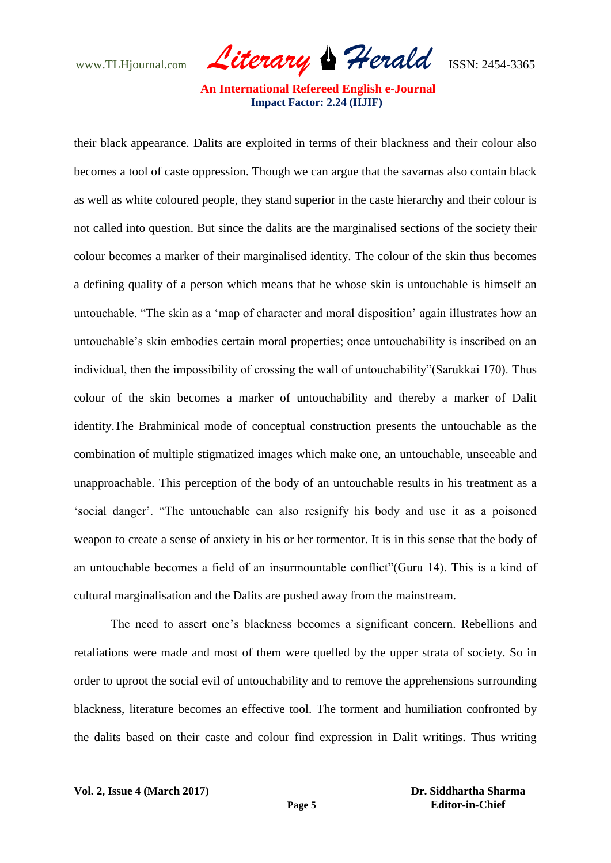www.TLHjournal.com *Literary Herald*ISSN: 2454-3365

their black appearance. Dalits are exploited in terms of their blackness and their colour also becomes a tool of caste oppression. Though we can argue that the savarnas also contain black as well as white coloured people, they stand superior in the caste hierarchy and their colour is not called into question. But since the dalits are the marginalised sections of the society their colour becomes a marker of their marginalised identity. The colour of the skin thus becomes a defining quality of a person which means that he whose skin is untouchable is himself an untouchable. "The skin as a "map of character and moral disposition" again illustrates how an untouchable"s skin embodies certain moral properties; once untouchability is inscribed on an individual, then the impossibility of crossing the wall of untouchability"(Sarukkai 170). Thus colour of the skin becomes a marker of untouchability and thereby a marker of Dalit identity.The Brahminical mode of conceptual construction presents the untouchable as the combination of multiple stigmatized images which make one, an untouchable, unseeable and unapproachable. This perception of the body of an untouchable results in his treatment as a 'social danger'. "The untouchable can also resignify his body and use it as a poisoned weapon to create a sense of anxiety in his or her tormentor. It is in this sense that the body of an untouchable becomes a field of an insurmountable conflict"(Guru 14). This is a kind of cultural marginalisation and the Dalits are pushed away from the mainstream.

The need to assert one"s blackness becomes a significant concern. Rebellions and retaliations were made and most of them were quelled by the upper strata of society. So in order to uproot the social evil of untouchability and to remove the apprehensions surrounding blackness, literature becomes an effective tool. The torment and humiliation confronted by the dalits based on their caste and colour find expression in Dalit writings. Thus writing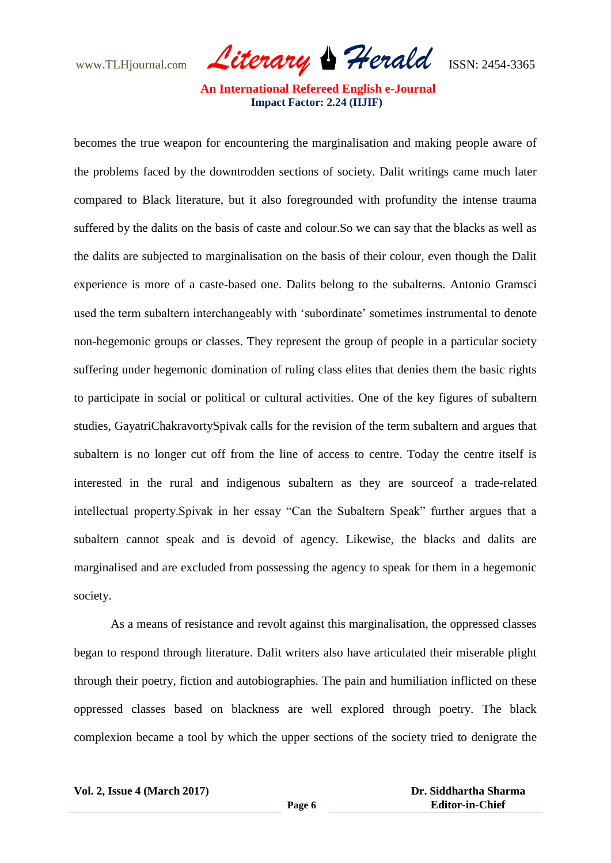www.TLHjournal.com *Literary Herald*ISSN: 2454-3365

becomes the true weapon for encountering the marginalisation and making people aware of the problems faced by the downtrodden sections of society. Dalit writings came much later compared to Black literature, but it also foregrounded with profundity the intense trauma suffered by the dalits on the basis of caste and colour.So we can say that the blacks as well as the dalits are subjected to marginalisation on the basis of their colour, even though the Dalit experience is more of a caste-based one. Dalits belong to the subalterns. Antonio Gramsci used the term subaltern interchangeably with 'subordinate' sometimes instrumental to denote non-hegemonic groups or classes. They represent the group of people in a particular society suffering under hegemonic domination of ruling class elites that denies them the basic rights to participate in social or political or cultural activities. One of the key figures of subaltern studies, GayatriChakravortySpivak calls for the revision of the term subaltern and argues that subaltern is no longer cut off from the line of access to centre. Today the centre itself is interested in the rural and indigenous subaltern as they are sourceof a trade-related intellectual property.Spivak in her essay "Can the Subaltern Speak" further argues that a subaltern cannot speak and is devoid of agency. Likewise, the blacks and dalits are marginalised and are excluded from possessing the agency to speak for them in a hegemonic society.

As a means of resistance and revolt against this marginalisation, the oppressed classes began to respond through literature. Dalit writers also have articulated their miserable plight through their poetry, fiction and autobiographies. The pain and humiliation inflicted on these oppressed classes based on blackness are well explored through poetry. The black complexion became a tool by which the upper sections of the society tried to denigrate the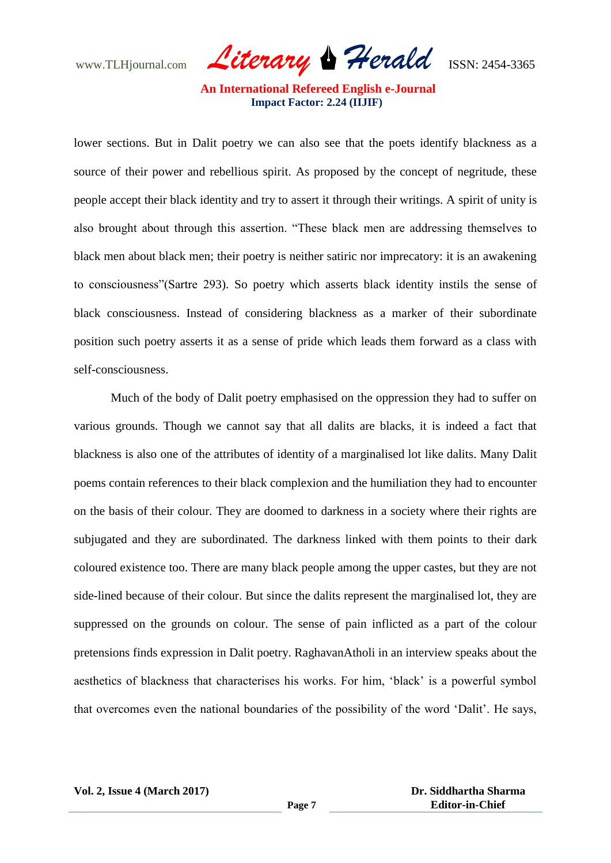www.TLHjournal.com *Literary Herald*ISSN: 2454-3365

lower sections. But in Dalit poetry we can also see that the poets identify blackness as a source of their power and rebellious spirit. As proposed by the concept of negritude, these people accept their black identity and try to assert it through their writings. A spirit of unity is also brought about through this assertion. "These black men are addressing themselves to black men about black men; their poetry is neither satiric nor imprecatory: it is an awakening to consciousness"(Sartre 293). So poetry which asserts black identity instils the sense of black consciousness. Instead of considering blackness as a marker of their subordinate position such poetry asserts it as a sense of pride which leads them forward as a class with self-consciousness.

Much of the body of Dalit poetry emphasised on the oppression they had to suffer on various grounds. Though we cannot say that all dalits are blacks, it is indeed a fact that blackness is also one of the attributes of identity of a marginalised lot like dalits. Many Dalit poems contain references to their black complexion and the humiliation they had to encounter on the basis of their colour. They are doomed to darkness in a society where their rights are subjugated and they are subordinated. The darkness linked with them points to their dark coloured existence too. There are many black people among the upper castes, but they are not side-lined because of their colour. But since the dalits represent the marginalised lot, they are suppressed on the grounds on colour. The sense of pain inflicted as a part of the colour pretensions finds expression in Dalit poetry. RaghavanAtholi in an interview speaks about the aesthetics of blackness that characterises his works. For him, "black" is a powerful symbol that overcomes even the national boundaries of the possibility of the word "Dalit". He says,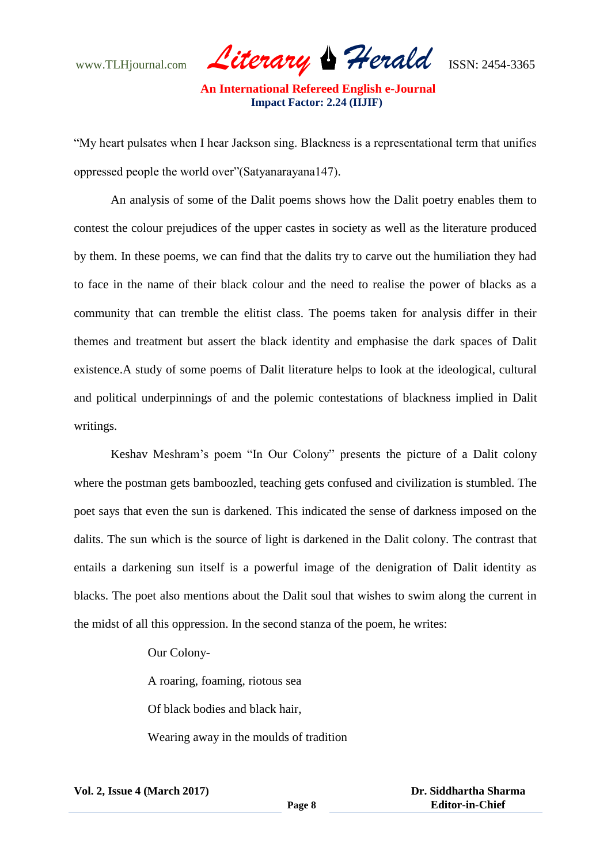www.TLHjournal.com *Literary Herald*ISSN: 2454-3365

"My heart pulsates when I hear Jackson sing. Blackness is a representational term that unifies oppressed people the world over"(Satyanarayana147).

An analysis of some of the Dalit poems shows how the Dalit poetry enables them to contest the colour prejudices of the upper castes in society as well as the literature produced by them. In these poems, we can find that the dalits try to carve out the humiliation they had to face in the name of their black colour and the need to realise the power of blacks as a community that can tremble the elitist class. The poems taken for analysis differ in their themes and treatment but assert the black identity and emphasise the dark spaces of Dalit existence.A study of some poems of Dalit literature helps to look at the ideological, cultural and political underpinnings of and the polemic contestations of blackness implied in Dalit writings.

Keshav Meshram"s poem "In Our Colony" presents the picture of a Dalit colony where the postman gets bamboozled, teaching gets confused and civilization is stumbled. The poet says that even the sun is darkened. This indicated the sense of darkness imposed on the dalits. The sun which is the source of light is darkened in the Dalit colony. The contrast that entails a darkening sun itself is a powerful image of the denigration of Dalit identity as blacks. The poet also mentions about the Dalit soul that wishes to swim along the current in the midst of all this oppression. In the second stanza of the poem, he writes:

Our Colony-

A roaring, foaming, riotous sea

Of black bodies and black hair,

Wearing away in the moulds of tradition

 **Dr. Siddhartha Sharma Editor-in-Chief**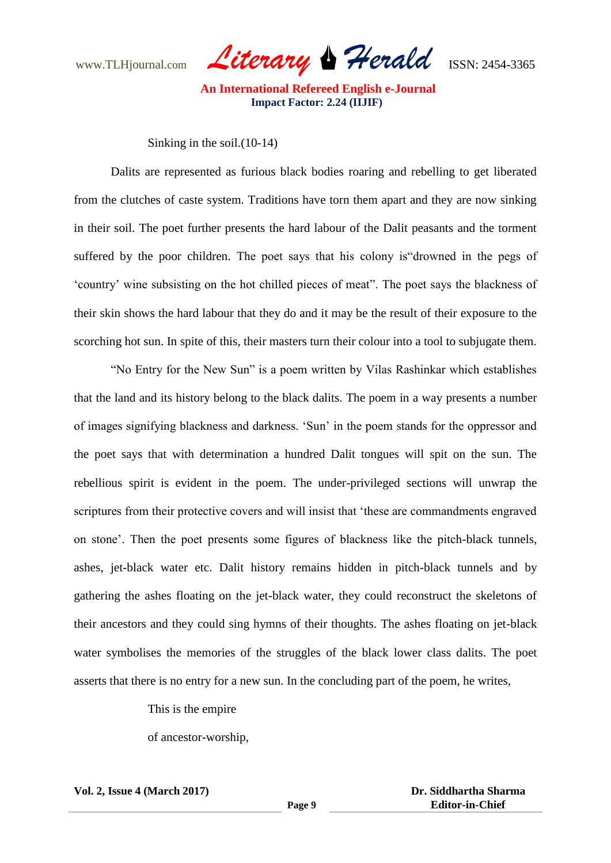www.TLHjournal.com *Literary Herald*ISSN: 2454-3365

Sinking in the soil.(10-14)

Dalits are represented as furious black bodies roaring and rebelling to get liberated from the clutches of caste system. Traditions have torn them apart and they are now sinking in their soil. The poet further presents the hard labour of the Dalit peasants and the torment suffered by the poor children. The poet says that his colony is"drowned in the pegs of "country" wine subsisting on the hot chilled pieces of meat". The poet says the blackness of their skin shows the hard labour that they do and it may be the result of their exposure to the scorching hot sun. In spite of this, their masters turn their colour into a tool to subjugate them.

"No Entry for the New Sun" is a poem written by Vilas Rashinkar which establishes that the land and its history belong to the black dalits. The poem in a way presents a number of images signifying blackness and darkness. "Sun" in the poem stands for the oppressor and the poet says that with determination a hundred Dalit tongues will spit on the sun. The rebellious spirit is evident in the poem. The under-privileged sections will unwrap the scriptures from their protective covers and will insist that "these are commandments engraved on stone". Then the poet presents some figures of blackness like the pitch-black tunnels, ashes, jet-black water etc. Dalit history remains hidden in pitch-black tunnels and by gathering the ashes floating on the jet-black water, they could reconstruct the skeletons of their ancestors and they could sing hymns of their thoughts. The ashes floating on jet-black water symbolises the memories of the struggles of the black lower class dalits. The poet asserts that there is no entry for a new sun. In the concluding part of the poem, he writes,

This is the empire

of ancestor-worship,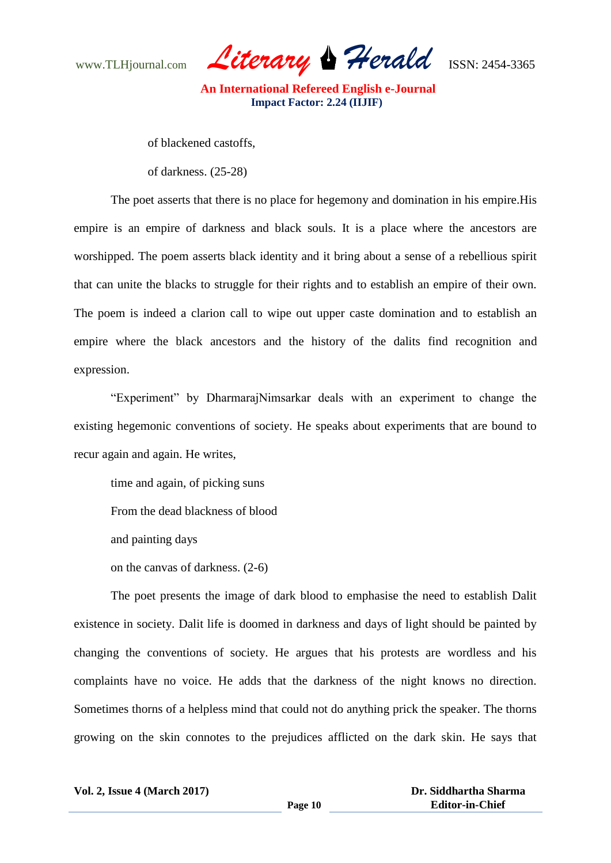www.TLHjournal.com *Literary Herald*ISSN: 2454-3365

of blackened castoffs,

of darkness. (25-28)

The poet asserts that there is no place for hegemony and domination in his empire.His empire is an empire of darkness and black souls. It is a place where the ancestors are worshipped. The poem asserts black identity and it bring about a sense of a rebellious spirit that can unite the blacks to struggle for their rights and to establish an empire of their own. The poem is indeed a clarion call to wipe out upper caste domination and to establish an empire where the black ancestors and the history of the dalits find recognition and expression.

"Experiment" by DharmarajNimsarkar deals with an experiment to change the existing hegemonic conventions of society. He speaks about experiments that are bound to recur again and again. He writes,

time and again, of picking suns

From the dead blackness of blood

and painting days

on the canvas of darkness. (2-6)

The poet presents the image of dark blood to emphasise the need to establish Dalit existence in society. Dalit life is doomed in darkness and days of light should be painted by changing the conventions of society. He argues that his protests are wordless and his complaints have no voice. He adds that the darkness of the night knows no direction. Sometimes thorns of a helpless mind that could not do anything prick the speaker. The thorns growing on the skin connotes to the prejudices afflicted on the dark skin. He says that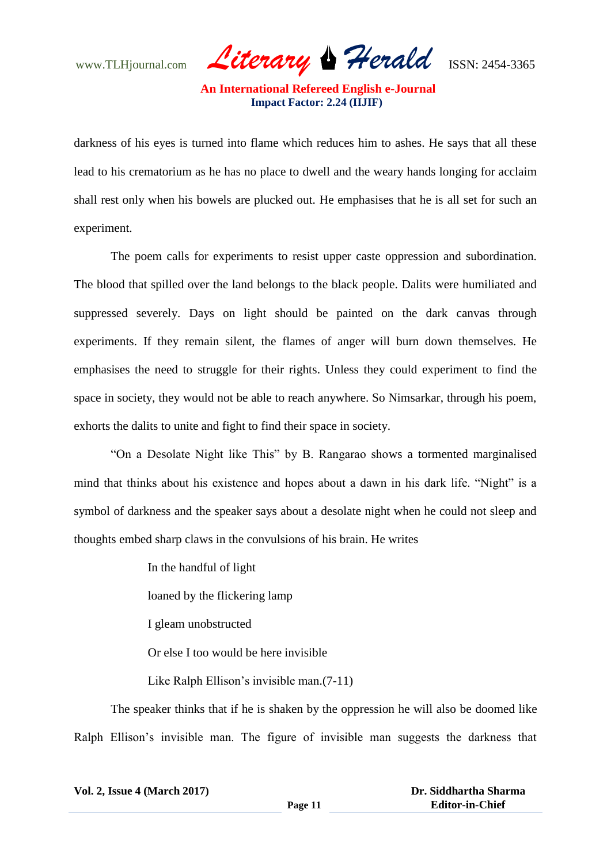www.TLHjournal.com *Literary Herald*ISSN: 2454-3365

darkness of his eyes is turned into flame which reduces him to ashes. He says that all these lead to his crematorium as he has no place to dwell and the weary hands longing for acclaim shall rest only when his bowels are plucked out. He emphasises that he is all set for such an experiment.

The poem calls for experiments to resist upper caste oppression and subordination. The blood that spilled over the land belongs to the black people. Dalits were humiliated and suppressed severely. Days on light should be painted on the dark canvas through experiments. If they remain silent, the flames of anger will burn down themselves. He emphasises the need to struggle for their rights. Unless they could experiment to find the space in society, they would not be able to reach anywhere. So Nimsarkar, through his poem, exhorts the dalits to unite and fight to find their space in society.

"On a Desolate Night like This" by B. Rangarao shows a tormented marginalised mind that thinks about his existence and hopes about a dawn in his dark life. "Night" is a symbol of darkness and the speaker says about a desolate night when he could not sleep and thoughts embed sharp claws in the convulsions of his brain. He writes

In the handful of light

loaned by the flickering lamp

I gleam unobstructed

Or else I too would be here invisible

Like Ralph Ellison's invisible man.  $(7-11)$ 

The speaker thinks that if he is shaken by the oppression he will also be doomed like Ralph Ellison"s invisible man. The figure of invisible man suggests the darkness that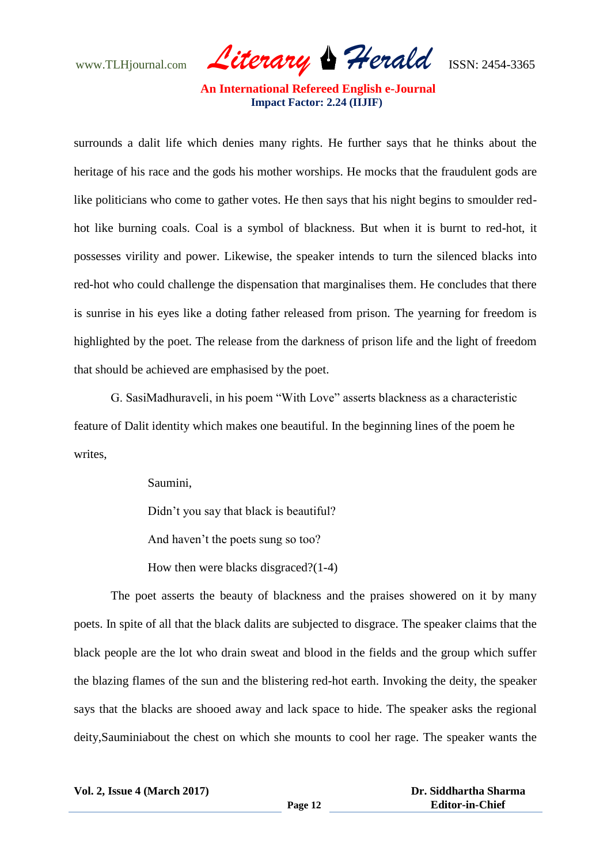www.TLHjournal.com *Literary Herald*ISSN: 2454-3365

surrounds a dalit life which denies many rights. He further says that he thinks about the heritage of his race and the gods his mother worships. He mocks that the fraudulent gods are like politicians who come to gather votes. He then says that his night begins to smoulder redhot like burning coals. Coal is a symbol of blackness. But when it is burnt to red-hot, it possesses virility and power. Likewise, the speaker intends to turn the silenced blacks into red-hot who could challenge the dispensation that marginalises them. He concludes that there is sunrise in his eyes like a doting father released from prison. The yearning for freedom is highlighted by the poet. The release from the darkness of prison life and the light of freedom that should be achieved are emphasised by the poet.

G. SasiMadhuraveli, in his poem "With Love" asserts blackness as a characteristic feature of Dalit identity which makes one beautiful. In the beginning lines of the poem he writes,

Saumini,

Didn't you say that black is beautiful?

And haven"t the poets sung so too?

How then were blacks disgraced?(1-4)

The poet asserts the beauty of blackness and the praises showered on it by many poets. In spite of all that the black dalits are subjected to disgrace. The speaker claims that the black people are the lot who drain sweat and blood in the fields and the group which suffer the blazing flames of the sun and the blistering red-hot earth. Invoking the deity, the speaker says that the blacks are shooed away and lack space to hide. The speaker asks the regional deity,Sauminiabout the chest on which she mounts to cool her rage. The speaker wants the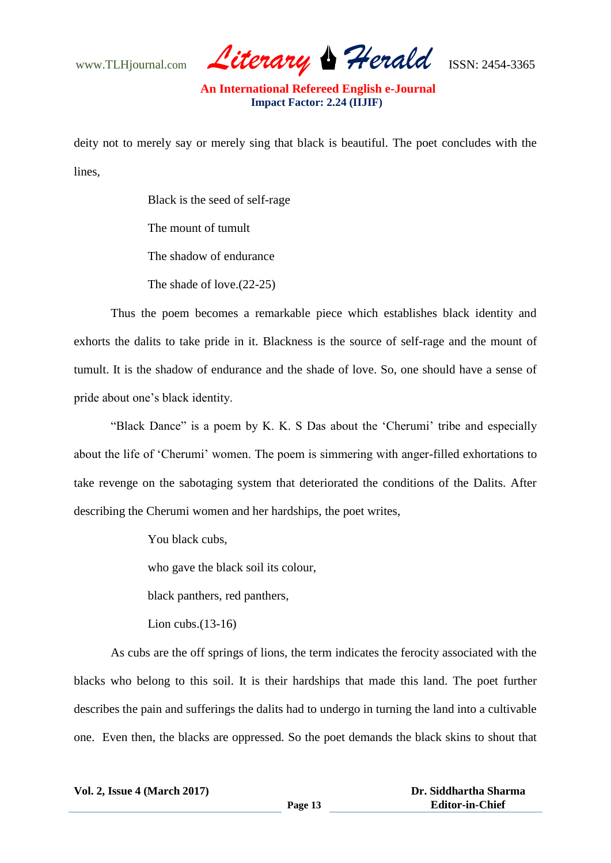www.TLHjournal.com *Literary Herald*ISSN: 2454-3365

deity not to merely say or merely sing that black is beautiful. The poet concludes with the lines,

> Black is the seed of self-rage The mount of tumult The shadow of endurance The shade of love.(22-25)

Thus the poem becomes a remarkable piece which establishes black identity and exhorts the dalits to take pride in it. Blackness is the source of self-rage and the mount of tumult. It is the shadow of endurance and the shade of love. So, one should have a sense of pride about one"s black identity.

"Black Dance" is a poem by K. K. S Das about the 'Cherumi' tribe and especially about the life of "Cherumi" women. The poem is simmering with anger-filled exhortations to take revenge on the sabotaging system that deteriorated the conditions of the Dalits. After describing the Cherumi women and her hardships, the poet writes,

You black cubs,

who gave the black soil its colour,

black panthers, red panthers,

Lion cubs.(13-16)

As cubs are the off springs of lions, the term indicates the ferocity associated with the blacks who belong to this soil. It is their hardships that made this land. The poet further describes the pain and sufferings the dalits had to undergo in turning the land into a cultivable one. Even then, the blacks are oppressed. So the poet demands the black skins to shout that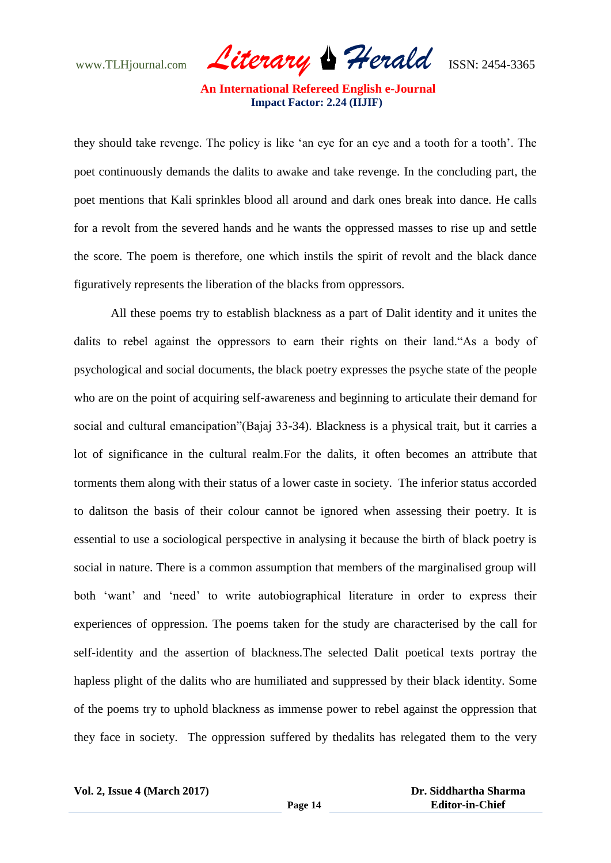www.TLHjournal.com *Literary Herald*ISSN: 2454-3365

they should take revenge. The policy is like "an eye for an eye and a tooth for a tooth". The poet continuously demands the dalits to awake and take revenge. In the concluding part, the poet mentions that Kali sprinkles blood all around and dark ones break into dance. He calls for a revolt from the severed hands and he wants the oppressed masses to rise up and settle the score. The poem is therefore, one which instils the spirit of revolt and the black dance figuratively represents the liberation of the blacks from oppressors.

All these poems try to establish blackness as a part of Dalit identity and it unites the dalits to rebel against the oppressors to earn their rights on their land."As a body of psychological and social documents, the black poetry expresses the psyche state of the people who are on the point of acquiring self-awareness and beginning to articulate their demand for social and cultural emancipation"(Bajaj 33-34). Blackness is a physical trait, but it carries a lot of significance in the cultural realm.For the dalits, it often becomes an attribute that torments them along with their status of a lower caste in society. The inferior status accorded to dalitson the basis of their colour cannot be ignored when assessing their poetry. It is essential to use a sociological perspective in analysing it because the birth of black poetry is social in nature. There is a common assumption that members of the marginalised group will both 'want' and 'need' to write autobiographical literature in order to express their experiences of oppression. The poems taken for the study are characterised by the call for self-identity and the assertion of blackness.The selected Dalit poetical texts portray the hapless plight of the dalits who are humiliated and suppressed by their black identity. Some of the poems try to uphold blackness as immense power to rebel against the oppression that they face in society. The oppression suffered by thedalits has relegated them to the very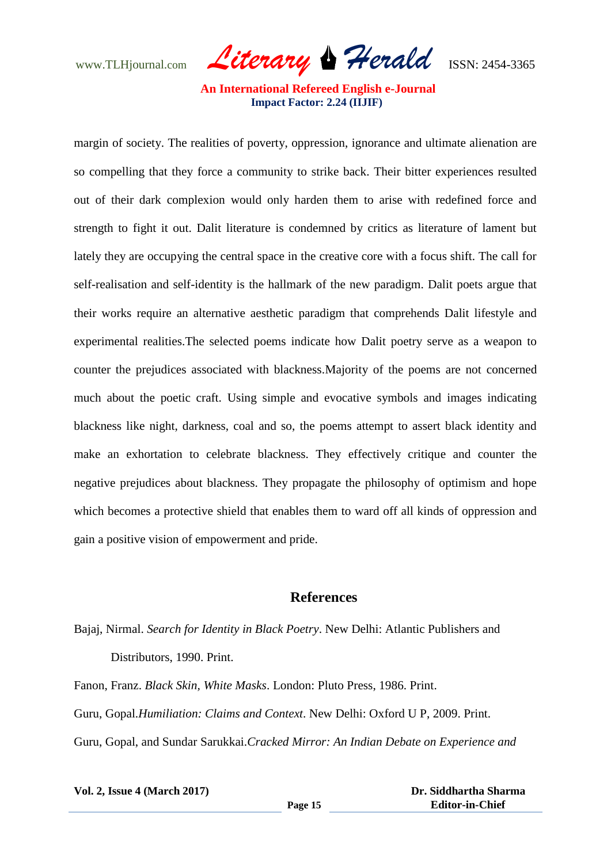www.TLHjournal.com *Literary Herald*ISSN: 2454-3365

margin of society. The realities of poverty, oppression, ignorance and ultimate alienation are so compelling that they force a community to strike back. Their bitter experiences resulted out of their dark complexion would only harden them to arise with redefined force and strength to fight it out. Dalit literature is condemned by critics as literature of lament but lately they are occupying the central space in the creative core with a focus shift. The call for self-realisation and self-identity is the hallmark of the new paradigm. Dalit poets argue that their works require an alternative aesthetic paradigm that comprehends Dalit lifestyle and experimental realities.The selected poems indicate how Dalit poetry serve as a weapon to counter the prejudices associated with blackness.Majority of the poems are not concerned much about the poetic craft. Using simple and evocative symbols and images indicating blackness like night, darkness, coal and so, the poems attempt to assert black identity and make an exhortation to celebrate blackness. They effectively critique and counter the negative prejudices about blackness. They propagate the philosophy of optimism and hope which becomes a protective shield that enables them to ward off all kinds of oppression and gain a positive vision of empowerment and pride.

#### **References**

Bajaj, Nirmal. *Search for Identity in Black Poetry*. New Delhi: Atlantic Publishers and Distributors, 1990. Print.

Fanon, Franz. *Black Skin, White Masks*. London: Pluto Press, 1986. Print. Guru, Gopal.*Humiliation: Claims and Context*. New Delhi: Oxford U P, 2009. Print. Guru, Gopal, and Sundar Sarukkai.*Cracked Mirror: An Indian Debate on Experience and* 

| <b>Vol. 2, Issue 4 (March 2017)</b> |         | Dr. Siddhartha Sharma  |
|-------------------------------------|---------|------------------------|
|                                     | Page 15 | <b>Editor-in-Chief</b> |